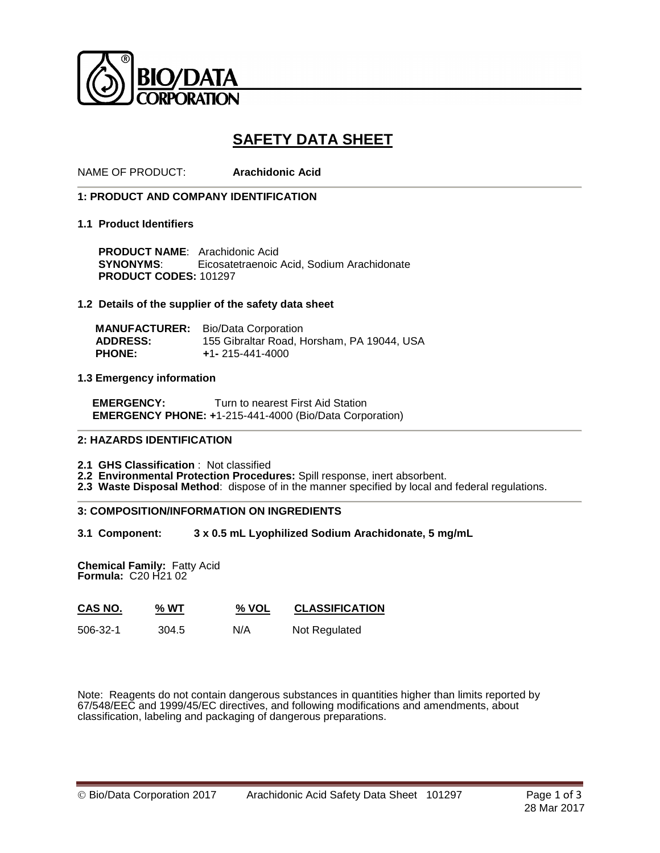

# **SAFETY DATA SHEET**

NAME OF PRODUCT: **Arachidonic Acid**

# **1: PRODUCT AND COMPANY IDENTIFICATION**

# **1.1 Product Identifiers**

 **PRODUCT NAME**: Arachidonic Acid  **SYNONYMS**: Eicosatetraenoic Acid, Sodium Arachidonate **PRODUCT CODES:** 101297

# **1.2 Details of the supplier of the safety data sheet**

|                 | <b>MANUFACTURER:</b> Bio/Data Corporation  |
|-----------------|--------------------------------------------|
| <b>ADDRESS:</b> | 155 Gibraltar Road. Horsham. PA 19044. USA |
| <b>PHONE:</b>   | $+1 - 215 - 441 - 4000$                    |

# **1.3 Emergency information**

**EMERGENCY:** Turn to nearest First Aid Station  **EMERGENCY PHONE: +**1-215-441-4000 (Bio/Data Corporation)

# **2: HAZARDS IDENTIFICATION**

**2.1 GHS Classification** : Not classified

- **2.2 Environmental Protection Procedures:** Spill response, inert absorbent.
- **2.3 Waste Disposal Method**: dispose of in the manner specified by local and federal regulations.

# **3: COMPOSITION/INFORMATION ON INGREDIENTS**

# **3.1 Component: 3 x 0.5 mL Lyophilized Sodium Arachidonate, 5 mg/mL**

**Chemical Family:** Fatty Acid **Formula:** C20 H21 02

| CAS NO. | % WT | % VOL | <b>CLASSIFICATION</b> |
|---------|------|-------|-----------------------|
|---------|------|-------|-----------------------|

506-32-1 304.5 N/A Not Regulated

Note: Reagents do not contain dangerous substances in quantities higher than limits reported by 67/548/EEC and 1999/45/EC directives, and following modifications and amendments, about classification, labeling and packaging of dangerous preparations.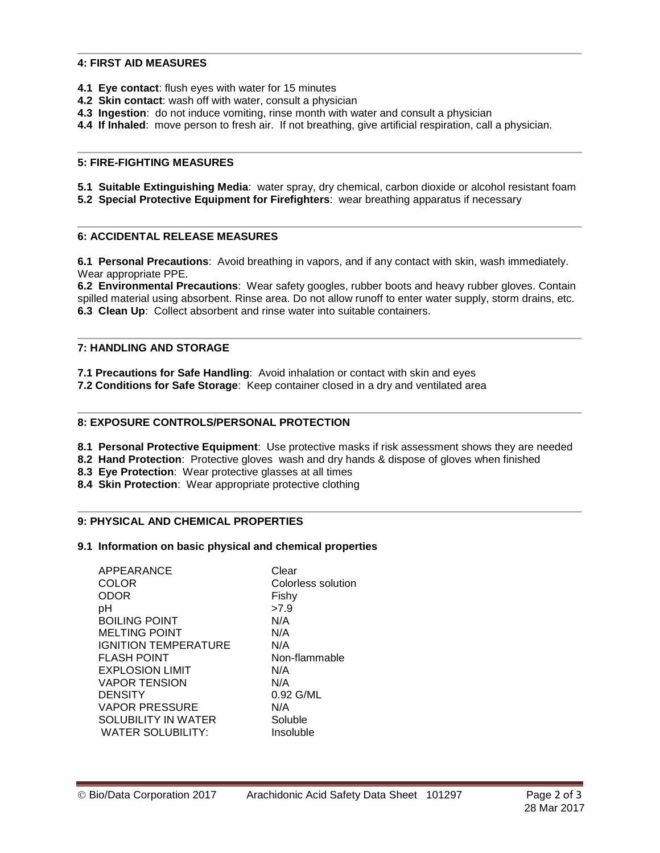# **4: FIRST AID MEASURES**

- **4.1 Eye contact**: flush eyes with water for 15 minutes
- **4.2 Skin contact**: wash off with water, consult a physician
- **4.3 Ingestion**: do not induce vomiting, rinse month with water and consult a physician
- **4.4 If Inhaled**: move person to fresh air. If not breathing, give artificial respiration, call a physician.

### **5: FIRE-FIGHTING MEASURES**

**5.1 Suitable Extinguishing Media**: water spray, dry chemical, carbon dioxide or alcohol resistant foam **5.2 Special Protective Equipment for Firefighters**: wear breathing apparatus if necessary

#### **6: ACCIDENTAL RELEASE MEASURES**

**6.1 Personal Precautions**: Avoid breathing in vapors, and if any contact with skin, wash immediately. Wear appropriate PPE.

**6.2 Environmental Precautions**: Wear safety googles, rubber boots and heavy rubber gloves. Contain spilled material using absorbent. Rinse area. Do not allow runoff to enter water supply, storm drains, etc. **6.3 Clean Up**: Collect absorbent and rinse water into suitable containers.

#### **7: HANDLING AND STORAGE**

**7.1 Precautions for Safe Handling**: Avoid inhalation or contact with skin and eyes

**7.2 Conditions for Safe Storage**: Keep container closed in a dry and ventilated area

#### **8: EXPOSURE CONTROLS/PERSONAL PROTECTION**

**8.1 Personal Protective Equipment**: Use protective masks if risk assessment shows they are needed

- **8.2 Hand Protection**: Protective gloves wash and dry hands & dispose of gloves when finished
- **8.3 Eye Protection**: Wear protective glasses at all times
- **8.4 Skin Protection**: Wear appropriate protective clothing

# **9: PHYSICAL AND CHEMICAL PROPERTIES**

#### **9.1 Information on basic physical and chemical properties**

| APPEARANCE                  | Clear              |
|-----------------------------|--------------------|
| <b>COLOR</b>                | Colorless solution |
| ODOR                        | Fishy              |
| рH                          | >7.9               |
| <b>BOILING POINT</b>        | N/A                |
| <b>MELTING POINT</b>        | N/A                |
| <b>IGNITION TEMPERATURE</b> | N/A                |
| <b>FLASH POINT</b>          | Non-flammable      |
| <b>EXPLOSION LIMIT</b>      | N/A                |
| <b>VAPOR TENSION</b>        | N/A                |
| <b>DENSITY</b>              | $0.92$ G/ML        |
| <b>VAPOR PRESSURE</b>       | N/A                |
| SOLUBILITY IN WATER         | Soluble            |
| <b>WATER SOLUBILITY:</b>    | Insoluble          |
|                             |                    |